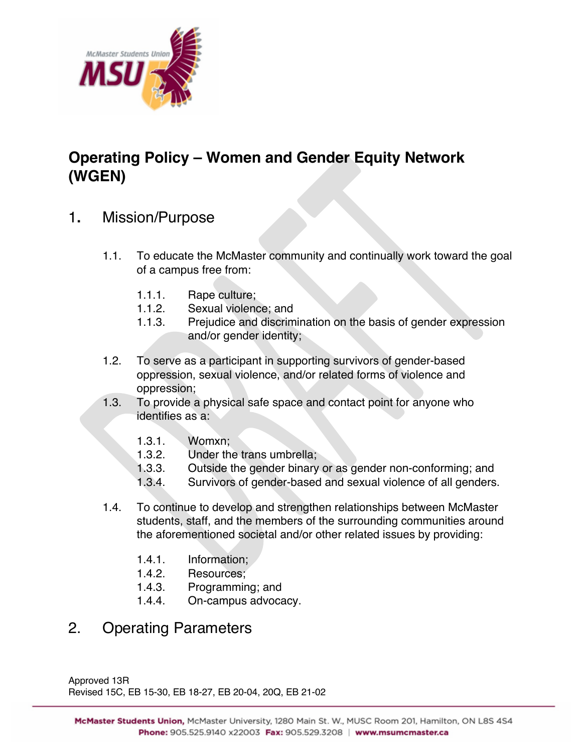

## **Operating Policy – Women and Gender Equity Network (WGEN)**

- 1**.** Mission/Purpose
	- 1.1. To educate the McMaster community and continually work toward the goal of a campus free from:
		- 1.1.1. Rape culture;
		- 1.1.2. Sexual violence; and
		- 1.1.3. Prejudice and discrimination on the basis of gender expression and/or gender identity;
	- 1.2. To serve as a participant in supporting survivors of gender-based oppression, sexual violence, and/or related forms of violence and oppression;
	- 1.3. To provide a physical safe space and contact point for anyone who identifies as a:
		- 1.3.1. Womxn;
		- 1.3.2. Under the trans umbrella;
		- 1.3.3. Outside the gender binary or as gender non-conforming; and
		- 1.3.4. Survivors of gender-based and sexual violence of all genders.
	- 1.4. To continue to develop and strengthen relationships between McMaster students, staff, and the members of the surrounding communities around the aforementioned societal and/or other related issues by providing:
		- 1.4.1. Information;
		- 1.4.2. Resources;
		- 1.4.3. Programming; and
		- 1.4.4. On-campus advocacy.

## 2. Operating Parameters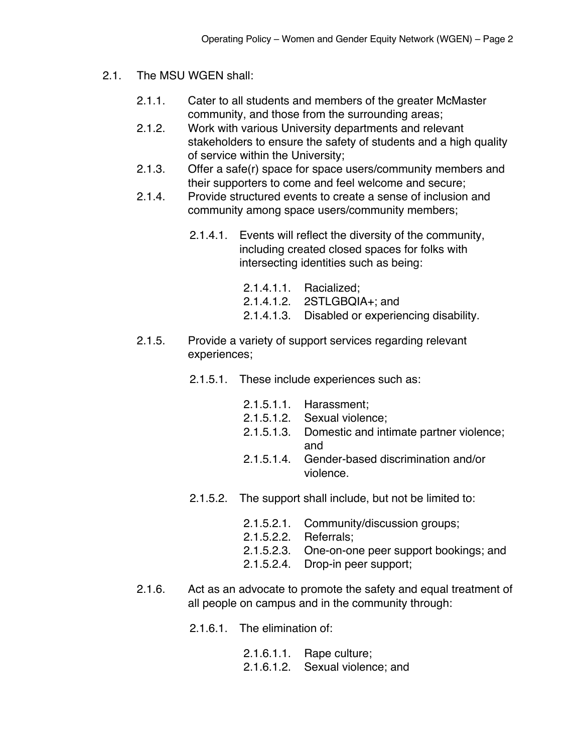- 2.1. The MSU WGEN shall:
	- 2.1.1. Cater to all students and members of the greater McMaster community, and those from the surrounding areas;
	- 2.1.2. Work with various University departments and relevant stakeholders to ensure the safety of students and a high quality of service within the University;
	- 2.1.3. Offer a safe(r) space for space users/community members and their supporters to come and feel welcome and secure;
	- 2.1.4. Provide structured events to create a sense of inclusion and community among space users/community members;
		- 2.1.4.1. Events will reflect the diversity of the community, including created closed spaces for folks with intersecting identities such as being:
			- 2.1.4.1.1. Racialized;
			- 2.1.4.1.2. 2STLGBQIA+; and
			- 2.1.4.1.3. Disabled or experiencing disability.
	- 2.1.5. Provide a variety of support services regarding relevant experiences;
		- 2.1.5.1. These include experiences such as:
			- 2.1.5.1.1. Harassment;
			- 2.1.5.1.2. Sexual violence;
			- 2.1.5.1.3. Domestic and intimate partner violence; and
			- 2.1.5.1.4. Gender-based discrimination and/or violence.
		- 2.1.5.2. The support shall include, but not be limited to:
			- 2.1.5.2.1. Community/discussion groups;
			- 2.1.5.2.2. Referrals;
			- 2.1.5.2.3. One-on-one peer support bookings; and
			- 2.1.5.2.4. Drop-in peer support;
	- 2.1.6. Act as an advocate to promote the safety and equal treatment of all people on campus and in the community through:
		- 2.1.6.1. The elimination of:
			- 2.1.6.1.1. Rape culture;
			- 2.1.6.1.2. Sexual violence; and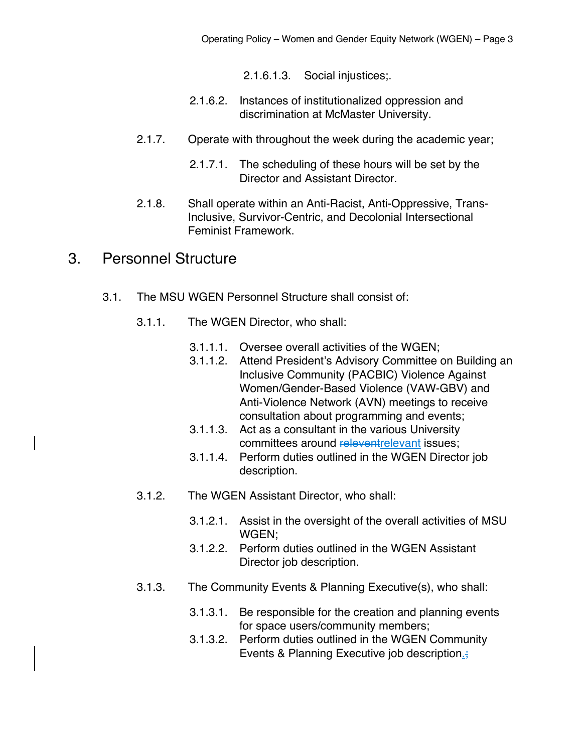2.1.6.1.3. Social injustices;.

- 2.1.6.2. Instances of institutionalized oppression and discrimination at McMaster University.
- 2.1.7. Operate with throughout the week during the academic year;
	- 2.1.7.1. The scheduling of these hours will be set by the Director and Assistant Director.
- 2.1.8. Shall operate within an Anti-Racist, Anti-Oppressive, Trans-Inclusive, Survivor-Centric, and Decolonial Intersectional Feminist Framework.

## 3. Personnel Structure

- 3.1. The MSU WGEN Personnel Structure shall consist of:
	- 3.1.1. The WGEN Director, who shall:
		- 3.1.1.1. Oversee overall activities of the WGEN;
		- 3.1.1.2. Attend President's Advisory Committee on Building an Inclusive Community (PACBIC) Violence Against Women/Gender-Based Violence (VAW-GBV) and Anti-Violence Network (AVN) meetings to receive consultation about programming and events;
		- 3.1.1.3. Act as a consultant in the various University committees around releventrelevant issues;
		- 3.1.1.4. Perform duties outlined in the WGEN Director job description.
	- 3.1.2. The WGEN Assistant Director, who shall:
		- 3.1.2.1. Assist in the oversight of the overall activities of MSU WGEN;
		- 3.1.2.2. Perform duties outlined in the WGEN Assistant Director job description.
	- 3.1.3. The Community Events & Planning Executive(s), who shall:
		- 3.1.3.1. Be responsible for the creation and planning events for space users/community members;
		- 3.1.3.2. Perform duties outlined in the WGEN Community Events & Planning Executive job description.;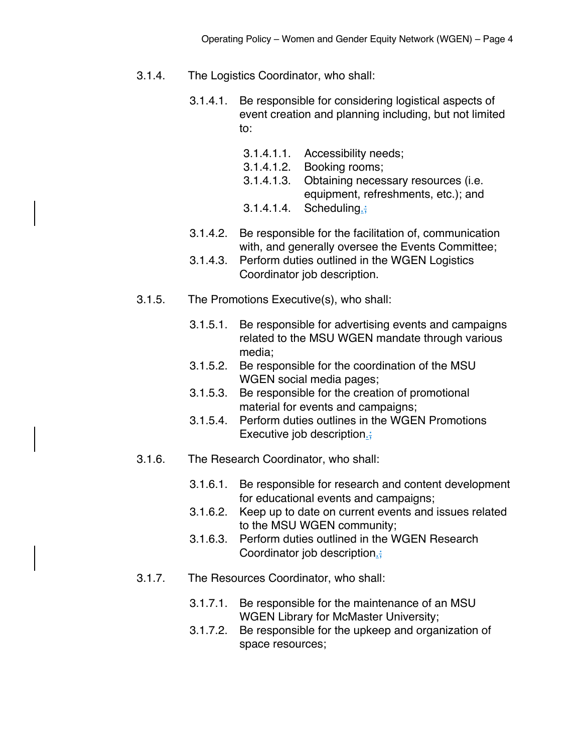- 3.1.4. The Logistics Coordinator, who shall:
	- 3.1.4.1. Be responsible for considering logistical aspects of event creation and planning including, but not limited to:
		- 3.1.4.1.1. Accessibility needs;
		- 3.1.4.1.2. Booking rooms;
		- 3.1.4.1.3. Obtaining necessary resources (i.e. equipment, refreshments, etc.); and
		- 3.1.4.1.4. Scheduling.;
	- 3.1.4.2. Be responsible for the facilitation of, communication with, and generally oversee the Events Committee;
	- 3.1.4.3. Perform duties outlined in the WGEN Logistics Coordinator job description.
- 3.1.5. The Promotions Executive(s), who shall:
	- 3.1.5.1. Be responsible for advertising events and campaigns related to the MSU WGEN mandate through various media;
	- 3.1.5.2. Be responsible for the coordination of the MSU WGEN social media pages;
	- 3.1.5.3. Be responsible for the creation of promotional material for events and campaigns;
	- 3.1.5.4. Perform duties outlines in the WGEN Promotions Executive job description.;
- 3.1.6. The Research Coordinator, who shall:
	- 3.1.6.1. Be responsible for research and content development for educational events and campaigns;
	- 3.1.6.2. Keep up to date on current events and issues related to the MSU WGEN community;
	- 3.1.6.3. Perform duties outlined in the WGEN Research Coordinator job description.
- 3.1.7. The Resources Coordinator, who shall:
	- 3.1.7.1. Be responsible for the maintenance of an MSU WGEN Library for McMaster University;
	- 3.1.7.2. Be responsible for the upkeep and organization of space resources;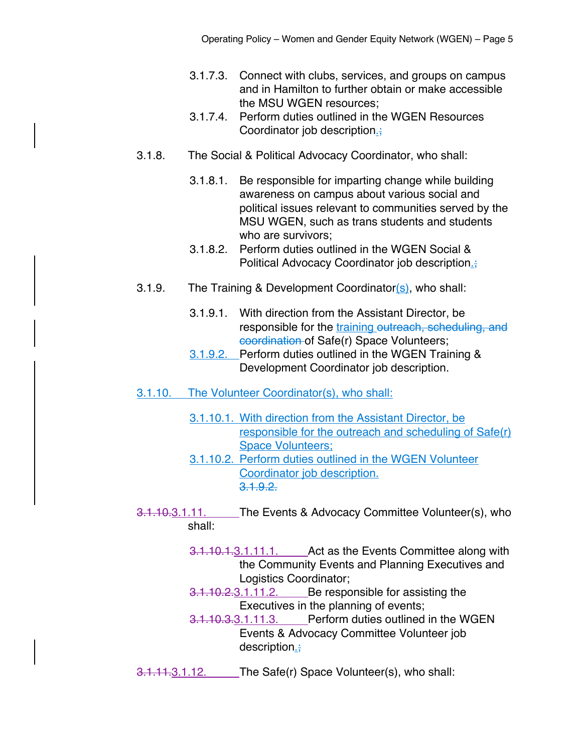- 3.1.7.3. Connect with clubs, services, and groups on campus and in Hamilton to further obtain or make accessible the MSU WGEN resources;
- 3.1.7.4. Perform duties outlined in the WGEN Resources Coordinator job description.
- 3.1.8. The Social & Political Advocacy Coordinator, who shall:
	- 3.1.8.1. Be responsible for imparting change while building awareness on campus about various social and political issues relevant to communities served by the MSU WGEN, such as trans students and students who are survivors;
	- 3.1.8.2. Perform duties outlined in the WGEN Social & Political Advocacy Coordinator job description.
- 3.1.9. The Training & Development Coordinator(s), who shall:
	- 3.1.9.1. With direction from the Assistant Director, be responsible for the training outreach, scheduling, and coordination of Safe(r) Space Volunteers;
	- 3.1.9.2. Perform duties outlined in the WGEN Training & Development Coordinator job description.
- 3.1.10. The Volunteer Coordinator(s), who shall:
	- 3.1.10.1. With direction from the Assistant Director, be responsible for the outreach and scheduling of Safe(r) Space Volunteers;
	- 3.1.10.2. Perform duties outlined in the WGEN Volunteer Coordinator job description.  $3.1.9.2.$
- 3.1.10.3.1.11. The Events & Advocacy Committee Volunteer(s), who shall:
	- 3.1.10.1.3.1.11.1. Act as the Events Committee along with the Community Events and Planning Executives and Logistics Coordinator;
	- 3.1.10.2.3.1.11.2. Be responsible for assisting the Executives in the planning of events;
		- 3.1.10.3.3.1.11.3. Perform duties outlined in the WGEN Events & Advocacy Committee Volunteer job description.;
- 3.1.11.3.1.12. The Safe(r) Space Volunteer(s), who shall: